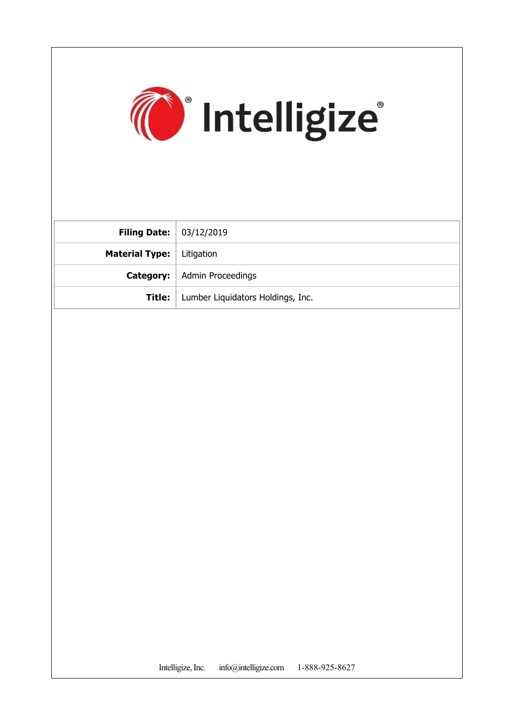

| <b>Filing Date:</b> $  03/12/2019$ |                                      |
|------------------------------------|--------------------------------------|
| <b>Material Type:</b>   Litigation |                                      |
|                                    | <b>Category:</b>   Admin Proceedings |
| Title:                             | Lumber Liquidators Holdings, Inc.    |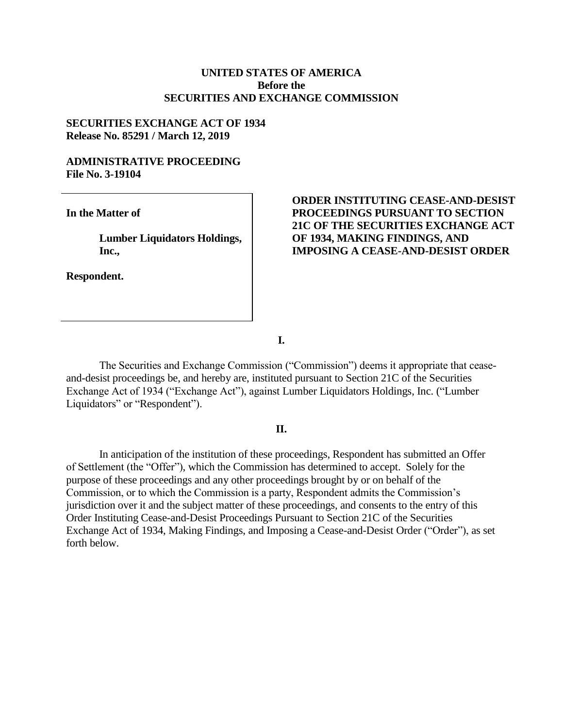# **UNITED STATES OF AMERICA Before the SECURITIES AND EXCHANGE COMMISSION**

### **SECURITIES EXCHANGE ACT OF 1934 Release No. 85291 / March 12, 2019**

### **ADMINISTRATIVE PROCEEDING File No. 3-19104**

**In the Matter of**

**Lumber Liquidators Holdings, Inc.,**

**Respondent.**

# **ORDER INSTITUTING CEASE-AND-DESIST PROCEEDINGS PURSUANT TO SECTION 21C OF THE SECURITIES EXCHANGE ACT OF 1934, MAKING FINDINGS, AND IMPOSING A CEASE-AND-DESIST ORDER**

**I.**

The Securities and Exchange Commission ("Commission") deems it appropriate that ceaseand-desist proceedings be, and hereby are, instituted pursuant to Section 21C of the Securities Exchange Act of 1934 ("Exchange Act"), against Lumber Liquidators Holdings, Inc. ("Lumber Liquidators" or "Respondent").

#### **II.**

In anticipation of the institution of these proceedings, Respondent has submitted an Offer of Settlement (the "Offer"), which the Commission has determined to accept. Solely for the purpose of these proceedings and any other proceedings brought by or on behalf of the Commission, or to which the Commission is a party, Respondent admits the Commission's jurisdiction over it and the subject matter of these proceedings, and consents to the entry of this Order Instituting Cease-and-Desist Proceedings Pursuant to Section 21C of the Securities Exchange Act of 1934, Making Findings, and Imposing a Cease-and-Desist Order ("Order"), as set forth below.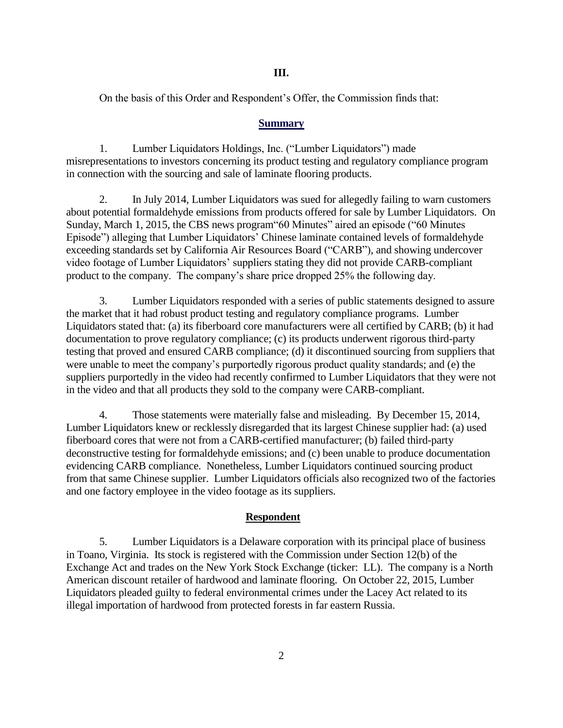### **III.**

On the basis of this Order and Respondent's Offer, the Commission finds that:

### **Summary**

1. Lumber Liquidators Holdings, Inc. ("Lumber Liquidators") made misrepresentations to investors concerning its product testing and regulatory compliance program in connection with the sourcing and sale of laminate flooring products.

2. In July 2014, Lumber Liquidators was sued for allegedly failing to warn customers about potential formaldehyde emissions from products offered for sale by Lumber Liquidators. On Sunday, March 1, 2015, the CBS news program"60 Minutes" aired an episode ("60 Minutes Episode") alleging that Lumber Liquidators' Chinese laminate contained levels of formaldehyde exceeding standards set by California Air Resources Board ("CARB"), and showing undercover video footage of Lumber Liquidators' suppliers stating they did not provide CARB-compliant product to the company. The company's share price dropped 25% the following day.

3. Lumber Liquidators responded with a series of public statements designed to assure the market that it had robust product testing and regulatory compliance programs. Lumber Liquidators stated that: (a) its fiberboard core manufacturers were all certified by CARB; (b) it had documentation to prove regulatory compliance; (c) its products underwent rigorous third-party testing that proved and ensured CARB compliance; (d) it discontinued sourcing from suppliers that were unable to meet the company's purportedly rigorous product quality standards; and (e) the suppliers purportedly in the video had recently confirmed to Lumber Liquidators that they were not in the video and that all products they sold to the company were CARB-compliant.

4. Those statements were materially false and misleading. By December 15, 2014, Lumber Liquidators knew or recklessly disregarded that its largest Chinese supplier had: (a) used fiberboard cores that were not from a CARB-certified manufacturer; (b) failed third-party deconstructive testing for formaldehyde emissions; and (c) been unable to produce documentation evidencing CARB compliance. Nonetheless, Lumber Liquidators continued sourcing product from that same Chinese supplier. Lumber Liquidators officials also recognized two of the factories and one factory employee in the video footage as its suppliers.

#### **Respondent**

5. Lumber Liquidators is a Delaware corporation with its principal place of business in Toano, Virginia. Its stock is registered with the Commission under Section 12(b) of the Exchange Act and trades on the New York Stock Exchange (ticker: LL). The company is a North American discount retailer of hardwood and laminate flooring. On October 22, 2015, Lumber Liquidators pleaded guilty to federal environmental crimes under the Lacey Act related to its illegal importation of hardwood from protected forests in far eastern Russia.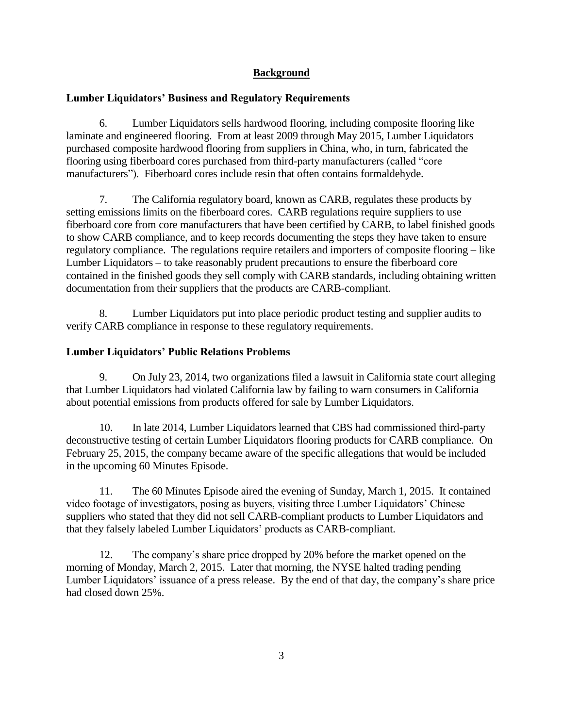# **Background**

# **Lumber Liquidators' Business and Regulatory Requirements**

6. Lumber Liquidators sells hardwood flooring, including composite flooring like laminate and engineered flooring. From at least 2009 through May 2015, Lumber Liquidators purchased composite hardwood flooring from suppliers in China, who, in turn, fabricated the flooring using fiberboard cores purchased from third-party manufacturers (called "core manufacturers"). Fiberboard cores include resin that often contains formaldehyde.

7. The California regulatory board, known as CARB, regulates these products by setting emissions limits on the fiberboard cores. CARB regulations require suppliers to use fiberboard core from core manufacturers that have been certified by CARB, to label finished goods to show CARB compliance, and to keep records documenting the steps they have taken to ensure regulatory compliance. The regulations require retailers and importers of composite flooring – like Lumber Liquidators – to take reasonably prudent precautions to ensure the fiberboard core contained in the finished goods they sell comply with CARB standards, including obtaining written documentation from their suppliers that the products are CARB-compliant.

8. Lumber Liquidators put into place periodic product testing and supplier audits to verify CARB compliance in response to these regulatory requirements.

# **Lumber Liquidators' Public Relations Problems**

9. On July 23, 2014, two organizations filed a lawsuit in California state court alleging that Lumber Liquidators had violated California law by failing to warn consumers in California about potential emissions from products offered for sale by Lumber Liquidators.

10. In late 2014, Lumber Liquidators learned that CBS had commissioned third-party deconstructive testing of certain Lumber Liquidators flooring products for CARB compliance. On February 25, 2015, the company became aware of the specific allegations that would be included in the upcoming 60 Minutes Episode.

11. The 60 Minutes Episode aired the evening of Sunday, March 1, 2015. It contained video footage of investigators, posing as buyers, visiting three Lumber Liquidators' Chinese suppliers who stated that they did not sell CARB-compliant products to Lumber Liquidators and that they falsely labeled Lumber Liquidators' products as CARB-compliant.

12. The company's share price dropped by 20% before the market opened on the morning of Monday, March 2, 2015. Later that morning, the NYSE halted trading pending Lumber Liquidators' issuance of a press release. By the end of that day, the company's share price had closed down 25%.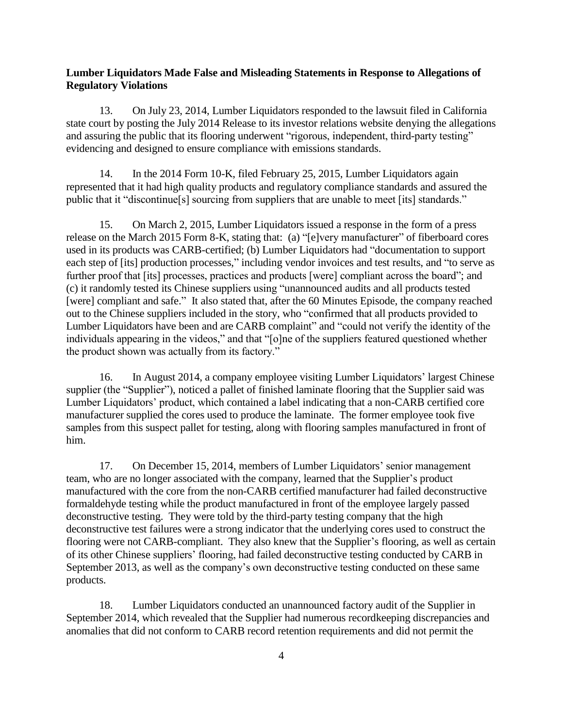### **Lumber Liquidators Made False and Misleading Statements in Response to Allegations of Regulatory Violations**

13. On July 23, 2014, Lumber Liquidators responded to the lawsuit filed in California state court by posting the July 2014 Release to its investor relations website denying the allegations and assuring the public that its flooring underwent "rigorous, independent, third-party testing" evidencing and designed to ensure compliance with emissions standards.

14. In the 2014 Form 10-K, filed February 25, 2015, Lumber Liquidators again represented that it had high quality products and regulatory compliance standards and assured the public that it "discontinue[s] sourcing from suppliers that are unable to meet [its] standards."

15. On March 2, 2015, Lumber Liquidators issued a response in the form of a press release on the March 2015 Form 8-K, stating that: (a) "[e]very manufacturer" of fiberboard cores used in its products was CARB-certified; (b) Lumber Liquidators had "documentation to support each step of [its] production processes," including vendor invoices and test results, and "to serve as further proof that [its] processes, practices and products [were] compliant across the board"; and (c) it randomly tested its Chinese suppliers using "unannounced audits and all products tested [were] compliant and safe." It also stated that, after the 60 Minutes Episode, the company reached out to the Chinese suppliers included in the story, who "confirmed that all products provided to Lumber Liquidators have been and are CARB complaint" and "could not verify the identity of the individuals appearing in the videos," and that "[o]ne of the suppliers featured questioned whether the product shown was actually from its factory."

16. In August 2014, a company employee visiting Lumber Liquidators' largest Chinese supplier (the "Supplier"), noticed a pallet of finished laminate flooring that the Supplier said was Lumber Liquidators' product, which contained a label indicating that a non-CARB certified core manufacturer supplied the cores used to produce the laminate. The former employee took five samples from this suspect pallet for testing, along with flooring samples manufactured in front of him.

17. On December 15, 2014, members of Lumber Liquidators' senior management team, who are no longer associated with the company, learned that the Supplier's product manufactured with the core from the non-CARB certified manufacturer had failed deconstructive formaldehyde testing while the product manufactured in front of the employee largely passed deconstructive testing. They were told by the third-party testing company that the high deconstructive test failures were a strong indicator that the underlying cores used to construct the flooring were not CARB-compliant. They also knew that the Supplier's flooring, as well as certain of its other Chinese suppliers' flooring, had failed deconstructive testing conducted by CARB in September 2013, as well as the company's own deconstructive testing conducted on these same products.

18. Lumber Liquidators conducted an unannounced factory audit of the Supplier in September 2014, which revealed that the Supplier had numerous recordkeeping discrepancies and anomalies that did not conform to CARB record retention requirements and did not permit the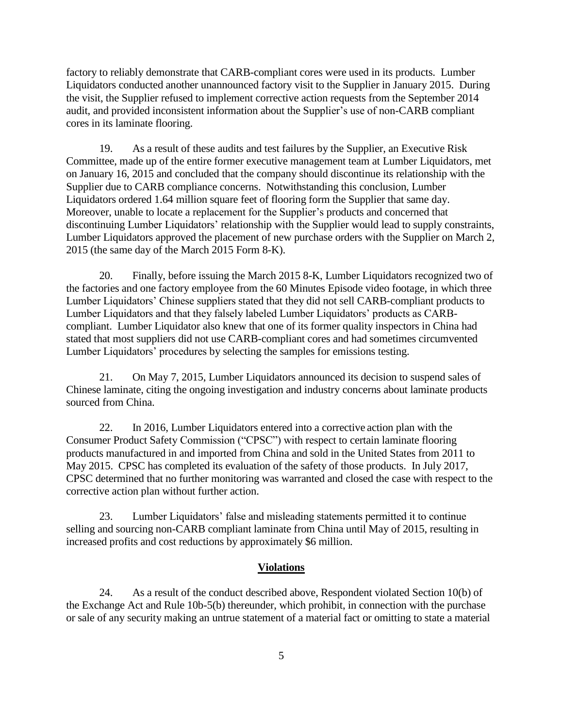factory to reliably demonstrate that CARB-compliant cores were used in its products. Lumber Liquidators conducted another unannounced factory visit to the Supplier in January 2015. During the visit, the Supplier refused to implement corrective action requests from the September 2014 audit, and provided inconsistent information about the Supplier's use of non-CARB compliant cores in its laminate flooring.

19. As a result of these audits and test failures by the Supplier, an Executive Risk Committee, made up of the entire former executive management team at Lumber Liquidators, met on January 16, 2015 and concluded that the company should discontinue its relationship with the Supplier due to CARB compliance concerns. Notwithstanding this conclusion, Lumber Liquidators ordered 1.64 million square feet of flooring form the Supplier that same day. Moreover, unable to locate a replacement for the Supplier's products and concerned that discontinuing Lumber Liquidators' relationship with the Supplier would lead to supply constraints, Lumber Liquidators approved the placement of new purchase orders with the Supplier on March 2, 2015 (the same day of the March 2015 Form 8-K).

20. Finally, before issuing the March 2015 8-K, Lumber Liquidators recognized two of the factories and one factory employee from the 60 Minutes Episode video footage, in which three Lumber Liquidators' Chinese suppliers stated that they did not sell CARB-compliant products to Lumber Liquidators and that they falsely labeled Lumber Liquidators' products as CARBcompliant. Lumber Liquidator also knew that one of its former quality inspectors in China had stated that most suppliers did not use CARB-compliant cores and had sometimes circumvented Lumber Liquidators' procedures by selecting the samples for emissions testing.

21. On May 7, 2015, Lumber Liquidators announced its decision to suspend sales of Chinese laminate, citing the ongoing investigation and industry concerns about laminate products sourced from China.

22. In 2016, Lumber Liquidators entered into a corrective action plan with the Consumer Product Safety Commission ("CPSC") with respect to certain laminate flooring products manufactured in and imported from China and sold in the United States from 2011 to May 2015. CPSC has completed its evaluation of the safety of those products. In July 2017, CPSC determined that no further monitoring was warranted and closed the case with respect to the corrective action plan without further action.

23. Lumber Liquidators' false and misleading statements permitted it to continue selling and sourcing non-CARB compliant laminate from China until May of 2015, resulting in increased profits and cost reductions by approximately \$6 million.

#### **Violations**

24. As a result of the conduct described above, Respondent violated Section 10(b) of the Exchange Act and Rule 10b-5(b) thereunder, which prohibit, in connection with the purchase or sale of any security making an untrue statement of a material fact or omitting to state a material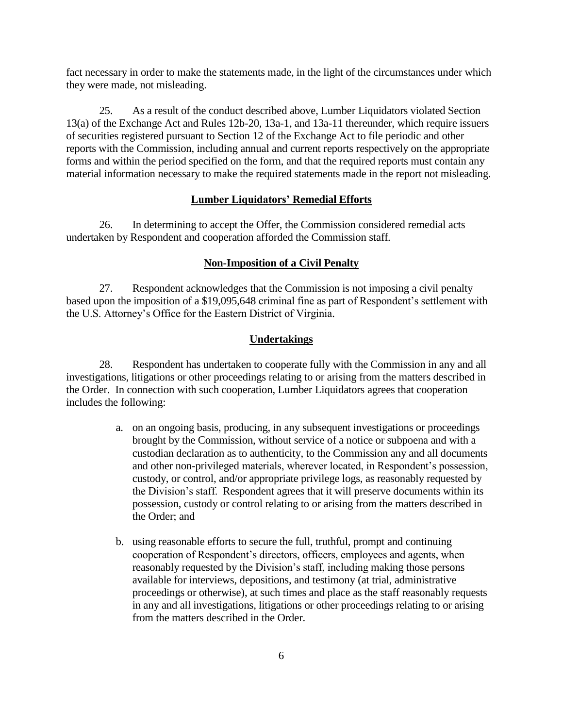fact necessary in order to make the statements made, in the light of the circumstances under which they were made, not misleading.

25. As a result of the conduct described above, Lumber Liquidators violated Section 13(a) of the Exchange Act and Rules 12b-20, 13a-1, and 13a-11 thereunder, which require issuers of securities registered pursuant to Section 12 of the Exchange Act to file periodic and other reports with the Commission, including annual and current reports respectively on the appropriate forms and within the period specified on the form, and that the required reports must contain any material information necessary to make the required statements made in the report not misleading.

# **Lumber Liquidators' Remedial Efforts**

26. In determining to accept the Offer, the Commission considered remedial acts undertaken by Respondent and cooperation afforded the Commission staff*.* 

### **Non-Imposition of a Civil Penalty**

27. Respondent acknowledges that the Commission is not imposing a civil penalty based upon the imposition of a \$19,095,648 criminal fine as part of Respondent's settlement with the U.S. Attorney's Office for the Eastern District of Virginia.

### **Undertakings**

28. Respondent has undertaken to cooperate fully with the Commission in any and all investigations, litigations or other proceedings relating to or arising from the matters described in the Order. In connection with such cooperation, Lumber Liquidators agrees that cooperation includes the following:

- a. on an ongoing basis, producing, in any subsequent investigations or proceedings brought by the Commission, without service of a notice or subpoena and with a custodian declaration as to authenticity, to the Commission any and all documents and other non-privileged materials, wherever located, in Respondent's possession, custody, or control, and/or appropriate privilege logs, as reasonably requested by the Division's staff. Respondent agrees that it will preserve documents within its possession, custody or control relating to or arising from the matters described in the Order; and
- b. using reasonable efforts to secure the full, truthful, prompt and continuing cooperation of Respondent's directors, officers, employees and agents, when reasonably requested by the Division's staff, including making those persons available for interviews, depositions, and testimony (at trial, administrative proceedings or otherwise), at such times and place as the staff reasonably requests in any and all investigations, litigations or other proceedings relating to or arising from the matters described in the Order.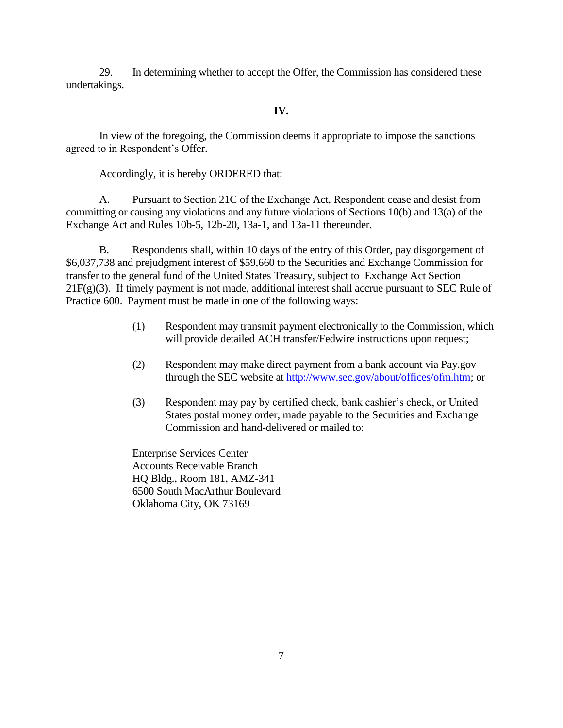29. In determining whether to accept the Offer, the Commission has considered these undertakings.

# **IV.**

In view of the foregoing, the Commission deems it appropriate to impose the sanctions agreed to in Respondent's Offer.

Accordingly, it is hereby ORDERED that:

A. Pursuant to Section 21C of the Exchange Act, Respondent cease and desist from committing or causing any violations and any future violations of Sections 10(b) and 13(a) of the Exchange Act and Rules 10b-5, 12b-20, 13a-1, and 13a-11 thereunder.

B. Respondents shall, within 10 days of the entry of this Order, pay disgorgement of \$6,037,738 and prejudgment interest of \$59,660 to the Securities and Exchange Commission for transfer to the general fund of the United States Treasury, subject to Exchange Act Section  $21F(g)(3)$ . If timely payment is not made, additional interest shall accrue pursuant to SEC Rule of Practice 600. Payment must be made in one of the following ways:

- (1) Respondent may transmit payment electronically to the Commission, which will provide detailed ACH transfer/Fedwire instructions upon request;
- (2) Respondent may make direct payment from a bank account via Pay.gov through the SEC website at [http://www.sec.gov/about/offices/ofm.htm;](http://www.sec.gov/about/offices/ofm.htm) or
- (3) Respondent may pay by certified check, bank cashier's check, or United States postal money order, made payable to the Securities and Exchange Commission and hand-delivered or mailed to:

Enterprise Services Center Accounts Receivable Branch HQ Bldg., Room 181, AMZ-341 6500 South MacArthur Boulevard Oklahoma City, OK 73169